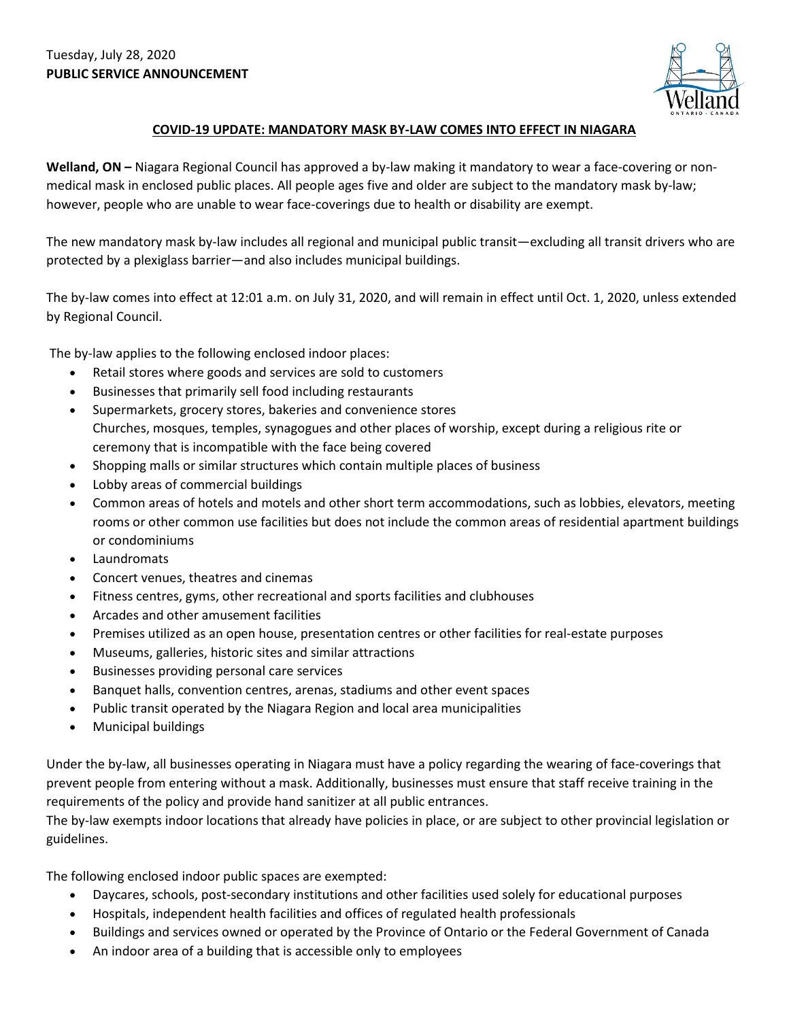

## **COVID-19 UPDATE: MANDATORY MASK BY-LAW COMES INTO EFFECT IN NIAGARA**

**Welland, ON –** Niagara Regional Council has approved a by-law making it mandatory to wear a face-covering or nonmedical mask in enclosed public places. All people ages five and older are subject to the mandatory mask by-law; however, people who are unable to wear face-coverings due to health or disability are exempt.

The new mandatory mask by-law includes all regional and municipal public transit—excluding all transit drivers who are protected by a plexiglass barrier—and also includes municipal buildings.

The by-law comes into effect at 12:01 a.m. on July 31, 2020, and will remain in effect until Oct. 1, 2020, unless extended by Regional Council.

The by-law applies to the following enclosed indoor places:

- Retail stores where goods and services are sold to customers
- Businesses that primarily sell food including restaurants
- Supermarkets, grocery stores, bakeries and convenience stores Churches, mosques, temples, synagogues and other places of worship, except during a religious rite or ceremony that is incompatible with the face being covered
- Shopping malls or similar structures which contain multiple places of business
- Lobby areas of commercial buildings
- Common areas of hotels and motels and other short term accommodations, such as lobbies, elevators, meeting rooms or other common use facilities but does not include the common areas of residential apartment buildings or condominiums
- **Laundromats**
- Concert venues, theatres and cinemas
- Fitness centres, gyms, other recreational and sports facilities and clubhouses
- Arcades and other amusement facilities
- Premises utilized as an open house, presentation centres or other facilities for real-estate purposes
- Museums, galleries, historic sites and similar attractions
- Businesses providing personal care services
- Banquet halls, convention centres, arenas, stadiums and other event spaces
- Public transit operated by the Niagara Region and local area municipalities
- Municipal buildings

Under the by-law, all businesses operating in Niagara must have a policy regarding the wearing of face-coverings that prevent people from entering without a mask. Additionally, businesses must ensure that staff receive training in the requirements of the policy and provide hand sanitizer at all public entrances.

The by-law exempts indoor locations that already have policies in place, or are subject to other provincial legislation or guidelines.

The following enclosed indoor public spaces are exempted:

- Daycares, schools, post-secondary institutions and other facilities used solely for educational purposes
- Hospitals, independent health facilities and offices of regulated health professionals
- Buildings and services owned or operated by the Province of Ontario or the Federal Government of Canada
- An indoor area of a building that is accessible only to employees